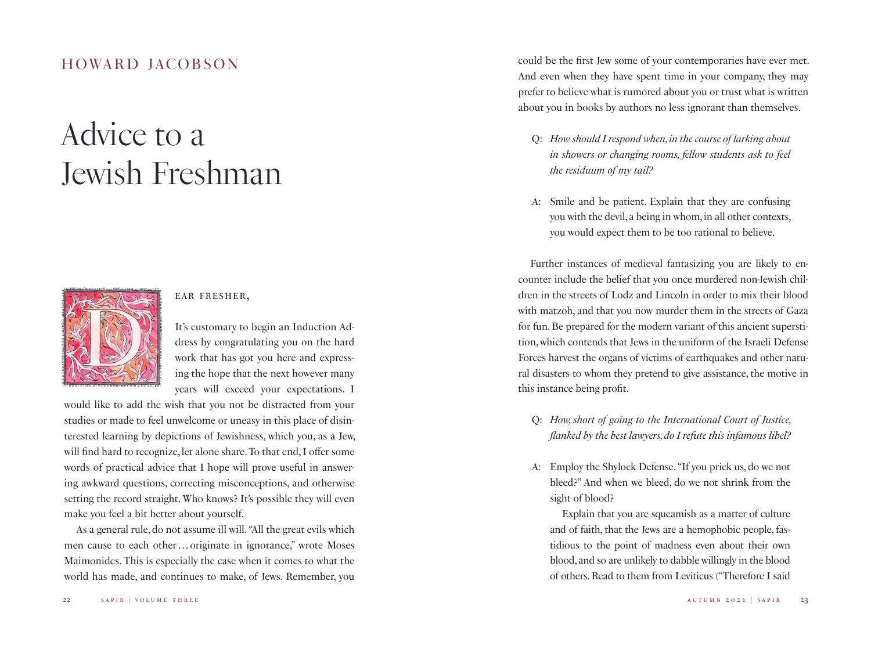## *Advice to a Jewish Freshman*



## ear fresher,

It's customary to begin an Induction Address by congratulating you on the hard work that has got you here and expressing the hope that the next however many years will exceed your expectations. I

would like to add the wish that you not be distracted from your studies or made to feel unwelcome or uneasy in this place of disinterested learning by depictions of Jewishness, which you, as a Jew, will find hard to recognize, let alone share. To that end, I offer some words of practical advice that I hope will prove useful in answering awkward questions, correcting misconceptions, and otherwise setting the record straight. Who knows? It's possible they will even make you feel a bit better about yourself.

As a general rule, do not assume ill will. "All the great evils which men cause to each other... originate in ignorance," wrote Moses Maimonides. This is especially the case when it comes to what the world has made, and continues to make, of Jews. Remember, you

HOWARD JACOBSON could be the first Jew some of your contemporaries have ever met. And even when they have spent time in your company, they may prefer to believe what is rumored about you or trust what is written about you in books by authors no less ignorant than themselves.

- Q: *How should I respond when, in the course of larking about in showers or changing rooms, fellow students ask to feel the residuum of my tail?*
- A: Smile and be patient. Explain that they are confusing you with the devil, a being in whom, in all other contexts, you would expect them to be too rational to believe.

Further instances of medieval fantasizing you are likely to encounter include the belief that you once murdered non-Jewish children in the streets of Lodz and Lincoln in order to mix their blood with matzoh, and that you now murder them in the streets of Gaza for fun. Be prepared for the modern variant of this ancient superstition, which contends that Jews in the uniform of the Israeli Defense Forces harvest the organs of victims of earthquakes and other natural disasters to whom they pretend to give assistance, the motive in this instance being profit.

- Q: *How, short of going to the International Court of Justice, flanked by the best lawyers, do I refute this infamous libel?*
- A: Employ the Shylock Defense. "If you prick us, do we not bleed?" And when we bleed, do we not shrink from the sight of blood?

Explain that you are squeamish as a matter of culture and of faith, that the Jews are a hemophobic people, fastidious to the point of madness even about their own blood, and so are unlikely to dabble willingly in the blood of others. Read to them from Leviticus ("Therefore I said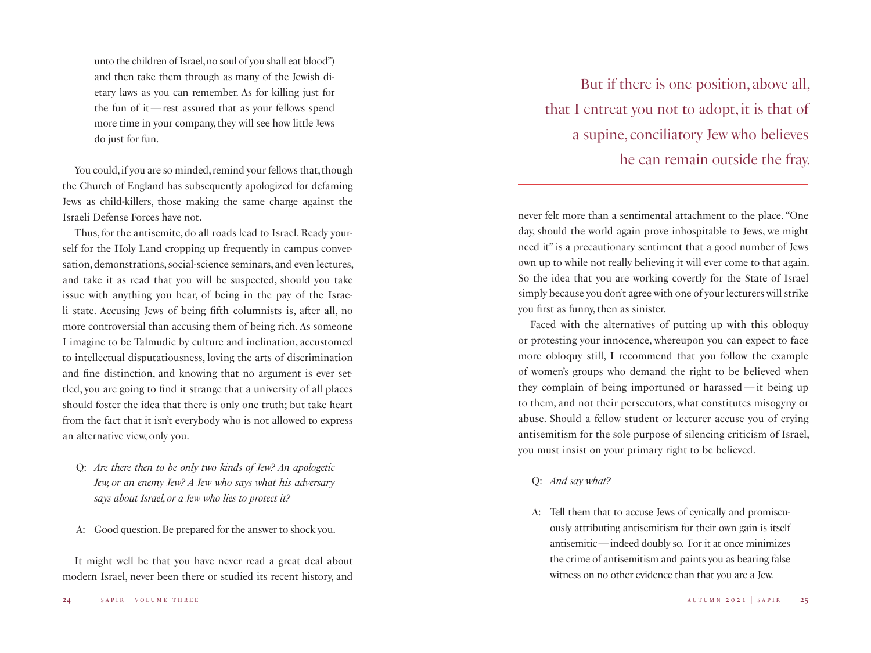unto the children of Israel, no soul of you shall eat blood") and then take them through as many of the Jewish dietary laws as you can remember. As for killing just for the fun of it—rest assured that as your fellows spend more time in your company, they will see how little Jews do just for fun.

You could, if you are so minded, remind your fellows that, though the Church of England has subsequently apologized for defaming Jews as child-killers, those making the same charge against the Israeli Defense Forces have not.

Thus, for the antisemite, do all roads lead to Israel. Ready yourself for the Holy Land cropping up frequently in campus conversation, demonstrations, social-science seminars, and even lectures, and take it as read that you will be suspected, should you take issue with anything you hear, of being in the pay of the Israeli state. Accusing Jews of being fifth columnists is, after all, no more controversial than accusing them of being rich. As someone I imagine to be Talmudic by culture and inclination, accustomed to intellectual disputatiousness, loving the arts of discrimination and fine distinction, and knowing that no argument is ever settled, you are going to find it strange that a university of all places should foster the idea that there is only one truth; but take heart from the fact that it isn't everybody who is not allowed to express an alternative view, only you.

- Q: *Are there then to be only two kinds of Jew? An apologetic Jew, or an enemy Jew? A Jew who says what his adversary says about Israel, or a Jew who lies to protect it?*
- A: Good question. Be prepared for the answer to shock you.

It might well be that you have never read a great deal about modern Israel, never been there or studied its recent history, and

But if there is one position, above all, that I entreat you not to adopt, it is that of a supine, conciliatory Jew who believes he can remain outside the fray.

never felt more than a sentimental attachment to the place. "One day, should the world again prove inhospitable to Jews, we might need it" is a precautionary sentiment that a good number of Jews own up to while not really believing it will ever come to that again. So the idea that you are working covertly for the State of Israel simply because you don't agree with one of your lecturers will strike you first as funny, then as sinister.

Faced with the alternatives of putting up with this obloquy or protesting your innocence, whereupon you can expect to face more obloquy still, I recommend that you follow the example of women's groups who demand the right to be believed when they complain of being importuned or harassed—it being up to them, and not their persecutors, what constitutes misogyny or abuse. Should a fellow student or lecturer accuse you of crying antisemitism for the sole purpose of silencing criticism of Israel, you must insist on your primary right to be believed.

## Q: *And say what?*

A: Tell them that to accuse Jews of cynically and promiscuously attributing antisemitism for their own gain is itself antisemitic—indeed doubly so. For it at once minimizes the crime of antisemitism and paints you as bearing false witness on no other evidence than that you are a Jew.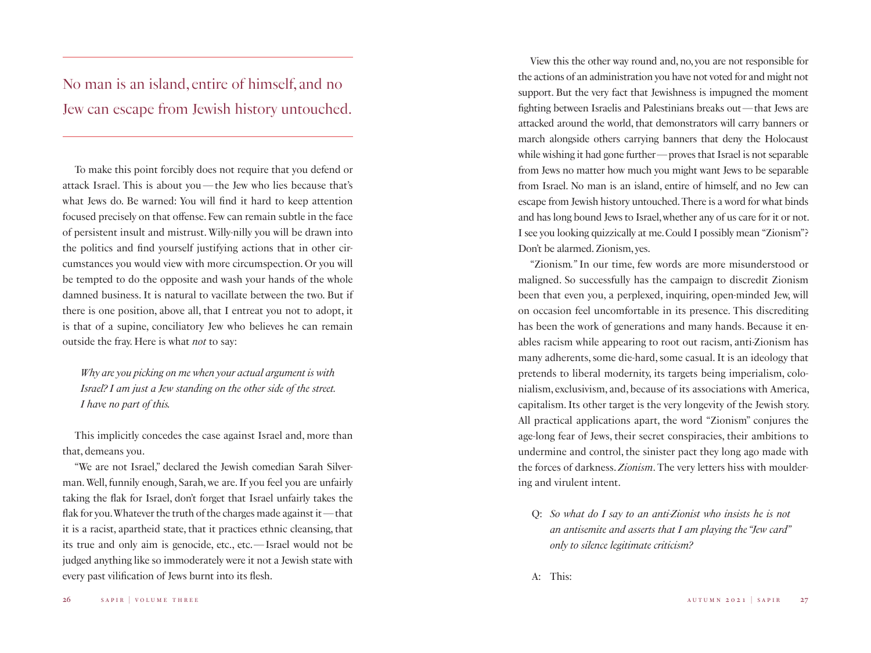No man is an island, entire of himself, and no Jew can escape from Jewish history untouched.

To make this point forcibly does not require that you defend or attack Israel. This is about you—the Jew who lies because that's what Jews do. Be warned: You will find it hard to keep attention focused precisely on that offense. Few can remain subtle in the face of persistent insult and mistrust. Willy-nilly you will be drawn into the politics and find yourself justifying actions that in other circumstances you would view with more circumspection. Or you will be tempted to do the opposite and wash your hands of the whole damned business. It is natural to vacillate between the two. But if there is one position, above all, that I entreat you not to adopt, it is that of a supine, conciliatory Jew who believes he can remain outside the fray. Here is what *not* to say:

*Why are you picking on me when your actual argument is with Israel? I am just a Jew standing on the other side of the street. I have no part of this.*

This implicitly concedes the case against Israel and, more than that, demeans you.

"We are not Israel," declared the Jewish comedian Sarah Silverman. Well, funnily enough, Sarah, we are. If you feel you are unfairly taking the flak for Israel, don't forget that Israel unfairly takes the flak for you. Whatever the truth of the charges made against it—that it is a racist, apartheid state, that it practices ethnic cleansing, that its true and only aim is genocide, etc., etc.—Israel would not be judged anything like so immoderately were it not a Jewish state with every past vilification of Jews burnt into its flesh.

View this the other way round and, no, you are not responsible for the actions of an administration you have not voted for and might not support. But the very fact that Jewishness is impugned the moment fighting between Israelis and Palestinians breaks out—that Jews are attacked around the world, that demonstrators will carry banners or march alongside others carrying banners that deny the Holocaust while wishing it had gone further—proves that Israel is not separable from Jews no matter how much you might want Jews to be separable from Israel. No man is an island, entire of himself, and no Jew can escape from Jewish history untouched. There is a word for what binds and has long bound Jews to Israel, whether any of us care for it or not. I see you looking quizzically at me. Could I possibly mean "Zionism"? Don't be alarmed. Zionism, yes.

"Zionism*."* In our time, few words are more misunderstood or maligned. So successfully has the campaign to discredit Zionism been that even you, a perplexed, inquiring, open-minded Jew, will on occasion feel uncomfortable in its presence. This discrediting has been the work of generations and many hands. Because it enables racism while appearing to root out racism, anti-Zionism has many adherents, some die-hard, some casual. It is an ideology that pretends to liberal modernity, its targets being imperialism, colonialism, exclusivism, and, because of its associations with America, capitalism. Its other target is the very longevity of the Jewish story. All practical applications apart, the word "Zionism" conjures the age-long fear of Jews, their secret conspiracies, their ambitions to undermine and control, the sinister pact they long ago made with the forces of darkness. *Zionism*. The very letters hiss with mouldering and virulent intent.

Q: *So what do I say to an anti-Zionist who insists he is not an antisemite and asserts that I am playing the "Jew card" only to silence legitimate criticism?*

A: This: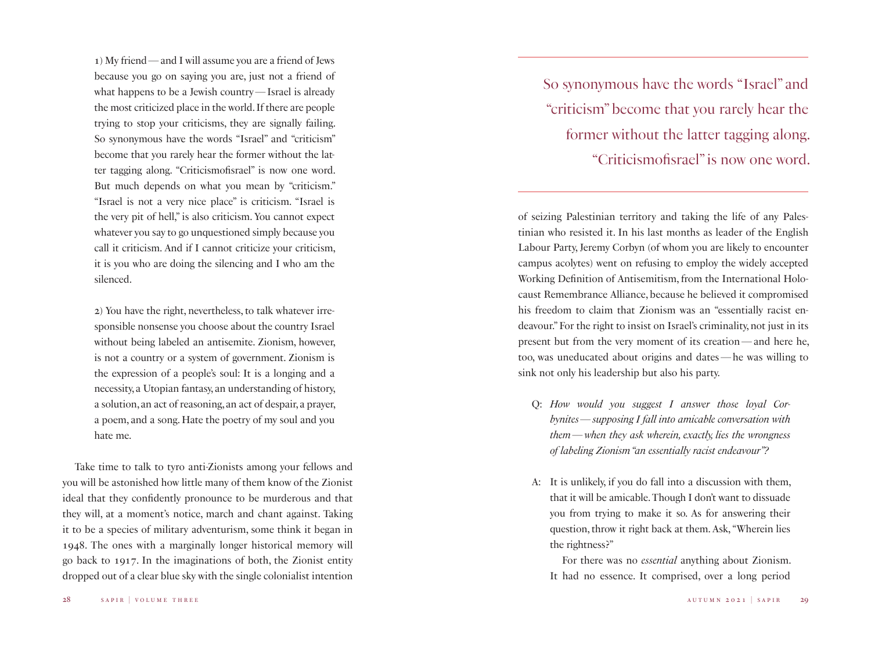1) My friend—and I will assume you are a friend of Jews because you go on saying you are, just not a friend of what happens to be a Jewish country—Israel is already the most criticized place in the world. If there are people trying to stop your criticisms, they are signally failing. So synonymous have the words "Israel" and "criticism" become that you rarely hear the former without the latter tagging along. "Criticismofisrael" is now one word. But much depends on what you mean by "criticism." "Israel is not a very nice place" is criticism. "Israel is the very pit of hell," is also criticism. You cannot expect whatever you say to go unquestioned simply because you call it criticism. And if I cannot criticize your criticism, it is you who are doing the silencing and I who am the silenced.

2) You have the right, nevertheless, to talk whatever irresponsible nonsense you choose about the country Israel without being labeled an antisemite. Zionism, however, is not a country or a system of government. Zionism is the expression of a people's soul: It is a longing and a necessity, a Utopian fantasy, an understanding of history, a solution, an act of reasoning, an act of despair, a prayer, a poem, and a song. Hate the poetry of my soul and you hate me.

Take time to talk to tyro anti-Zionists among your fellows and you will be astonished how little many of them know of the Zionist ideal that they confidently pronounce to be murderous and that they will, at a moment's notice, march and chant against. Taking it to be a species of military adventurism, some think it began in 1948. The ones with a marginally longer historical memory will go back to 1917. In the imaginations of both, the Zionist entity dropped out of a clear blue sky with the single colonialist intention

So synonymous have the words "Israel" and "criticism" become that you rarely hear the former without the latter tagging along. "Criticismofisrael" is now one word.

of seizing Palestinian territory and taking the life of any Palestinian who resisted it. In his last months as leader of the English Labour Party, Jeremy Corbyn (of whom you are likely to encounter campus acolytes) went on refusing to employ the widely accepted Working Definition of Antisemitism, from the International Holocaust Remembrance Alliance, because he believed it compromised his freedom to claim that Zionism was an "essentially racist endeavour." For the right to insist on Israel's criminality, not just in its present but from the very moment of its creation—and here he, too, was uneducated about origins and dates—he was willing to sink not only his leadership but also his party.

- Q: *How would you suggest I answer those loyal Corbynites*—*supposing I fall into amicable conversation with them*—*when they ask wherein, exactly, lies the wrongness of labeling Zionism "an essentially racist endeavour"?*
- A: It is unlikely, if you do fall into a discussion with them, that it will be amicable. Though I don't want to dissuade you from trying to make it so. As for answering their question, throw it right back at them. Ask, "Wherein lies the rightness?"

For there was no *essential* anything about Zionism. It had no essence. It comprised, over a long period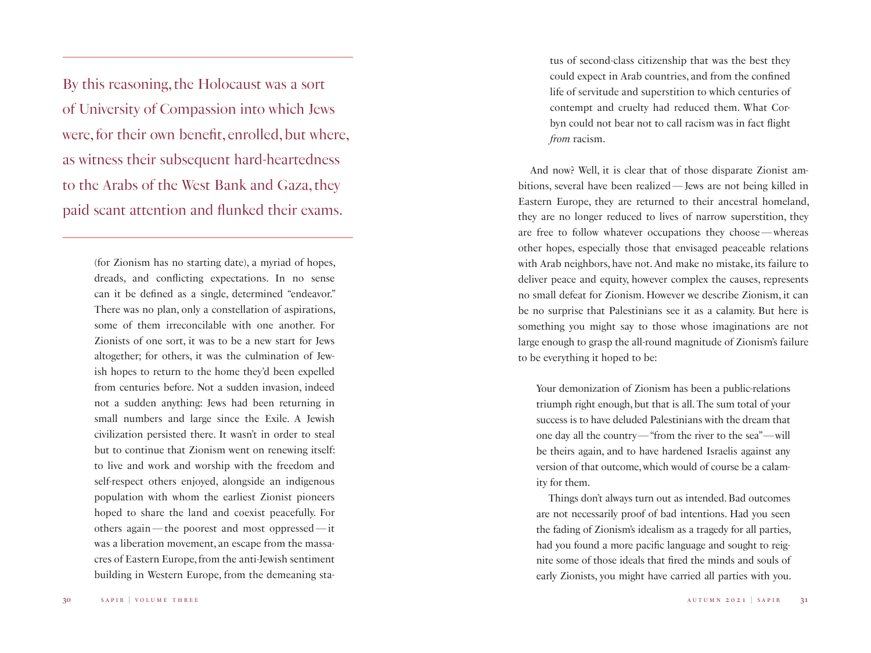By this reasoning, the Holocaust was a sort of University of Compassion into which Jews were, for their own benefit, enrolled, but where, as witness their subsequent hard-heartedness to the Arabs of the West Bank and Gaza, they paid scant attention and flunked their exams.

> (for Zionism has no starting date), a myriad of hopes, dreads, and conflicting expectations. In no sense can it be defined as a single, determined "endeavor." There was no plan, only a constellation of aspirations, some of them irreconcilable with one another. For Zionists of one sort, it was to be a new start for Jews altogether; for others, it was the culmination of Jewish hopes to return to the home they'd been expelled from centuries before. Not a sudden invasion, indeed not a sudden anything: Jews had been returning in small numbers and large since the Exile. A Jewish civilization persisted there. It wasn't in order to steal but to continue that Zionism went on renewing itself: to live and work and worship with the freedom and self-respect others enjoyed, alongside an indigenous population with whom the earliest Zionist pioneers hoped to share the land and coexist peacefully. For others again—the poorest and most oppressed—it was a liberation movement, an escape from the massacres of Eastern Europe, from the anti-Jewish sentiment building in Western Europe, from the demeaning sta-

tus of second-class citizenship that was the best they could expect in Arab countries, and from the confined life of servitude and superstition to which centuries of contempt and cruelty had reduced them. What Corbyn could not bear not to call racism was in fact flight *from* racism.

And now? Well, it is clear that of those disparate Zionist ambitions, several have been realized—Jews are not being killed in Eastern Europe, they are returned to their ancestral homeland, they are no longer reduced to lives of narrow superstition, they are free to follow whatever occupations they choose—whereas other hopes, especially those that envisaged peaceable relations with Arab neighbors, have not. And make no mistake, its failure to deliver peace and equity, however complex the causes, represents no small defeat for Zionism. However we describe Zionism, it can be no surprise that Palestinians see it as a calamity. But here is something you might say to those whose imaginations are not large enough to grasp the all-round magnitude of Zionism's failure to be everything it hoped to be:

Your demonization of Zionism has been a public-relations triumph right enough, but that is all. The sum total of your success is to have deluded Palestinians with the dream that one day all the country—"from the river to the sea"—will be theirs again, and to have hardened Israelis against any version of that outcome, which would of course be a calamity for them.

Things don't always turn out as intended. Bad outcomes are not necessarily proof of bad intentions. Had you seen the fading of Zionism's idealism as a tragedy for all parties, had you found a more pacific language and sought to reignite some of those ideals that fired the minds and souls of early Zionists, you might have carried all parties with you.